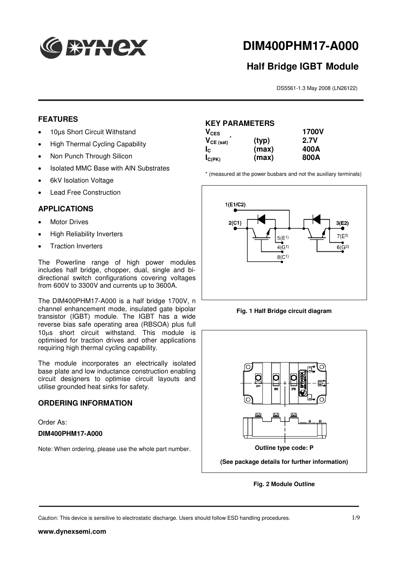

# **DIM400PHM17-A000**

## **Half Bridge IGBT Module**

DS5561-1.3 May 2008 (LN26122)

#### **FEATURES**

- 10µs Short Circuit Withstand
- High Thermal Cycling Capability
- Non Punch Through Silicon
- Isolated MMC Base with AlN Substrates
- 6kV Isolation Voltage
- Lead Free Construction

#### **APPLICATIONS**

- Motor Drives
- High Reliability Inverters
- Traction Inverters

The Powerline range of high power modules includes half bridge, chopper, dual, single and bidirectional switch configurations covering voltages from 600V to 3300V and currents up to 3600A.

The DIM400PHM17-A000 is a half bridge 1700V, n channel enhancement mode, insulated gate bipolar transistor (IGBT) module. The IGBT has a wide reverse bias safe operating area (RBSOA) plus full 10µs short circuit withstand. This module is optimised for traction drives and other applications requiring high thermal cycling capability.

The module incorporates an electrically isolated base plate and low inductance construction enabling circuit designers to optimise circuit layouts and utilise grounded heat sinks for safety.

#### **ORDERING INFORMATION**

Order As:

#### **DIM400PHM17-A000**

Note: When ordering, please use the whole part number.

### **KEY PARAMETERS**

| $\mathsf{V_{CES}}$ |       | <b>1700V</b> |
|--------------------|-------|--------------|
| $V_{CE (sat)}$     | (typ) | <b>2.7V</b>  |
| Ιe                 | (max) | 400A         |
| $I_{C(PK)}$        | (max) | 800A         |

\* (measured at the power busbars and not the auxiliary terminals)



**Fig. 1 Half Bridge circuit diagram**



**Fig. 2 Module Outline**

Caution: This device is sensitive to electrostatic discharge. Users should follow ESD handling procedures. 1/9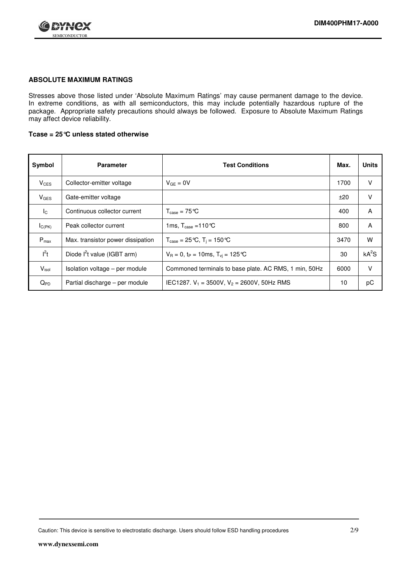

#### **ABSOLUTE MAXIMUM RATINGS**

Stresses above those listed under 'Absolute Maximum Ratings' may cause permanent damage to the device. In extreme conditions, as with all semiconductors, this may include potentially hazardous rupture of the package. Appropriate safety precautions should always be followed. Exposure to Absolute Maximum Ratings may affect device reliability.

#### **Tcase = 25°C unless stated otherwise**

| Symbol                 | <b>Parameter</b>                        | <b>Test Conditions</b>                                           | Max. | <b>Units</b> |
|------------------------|-----------------------------------------|------------------------------------------------------------------|------|--------------|
| <b>V<sub>CES</sub></b> | Collector-emitter voltage               | $V_{GF} = 0V$                                                    | 1700 | v            |
| <b>V<sub>GES</sub></b> | Gate-emitter voltage                    |                                                                  | ±20  | v            |
| $I_{\rm C}$            | Continuous collector current            | $T_{\text{case}} = 75^{\circ}C$                                  | 400  | A            |
| $I_{C(PK)}$            | Peak collector current                  | 1ms, $T_{\text{case}} = 110 \degree C$                           | 800  | A            |
| $P_{\text{max}}$       | Max. transistor power dissipation       | $T_{\text{case}} = 25 \text{ °C}, T_{\text{i}} = 150 \text{ °C}$ | 3470 | W            |
| $I^2t$                 | Diode l <sup>2</sup> t value (IGBT arm) | $V_R = 0$ , t <sub>P</sub> = 10ms, $T_{vi} = 125$ °C             | 30   | $kA^2S$      |
| $V_{\text{isol}}$      | Isolation voltage - per module          | Commoned terminals to base plate. AC RMS, 1 min, 50Hz            | 6000 | V            |
| $Q_{PD}$               | Partial discharge - per module          | IEC1287. $V_1 = 3500V$ , $V_2 = 2600V$ , 50Hz RMS                | 10   | рC           |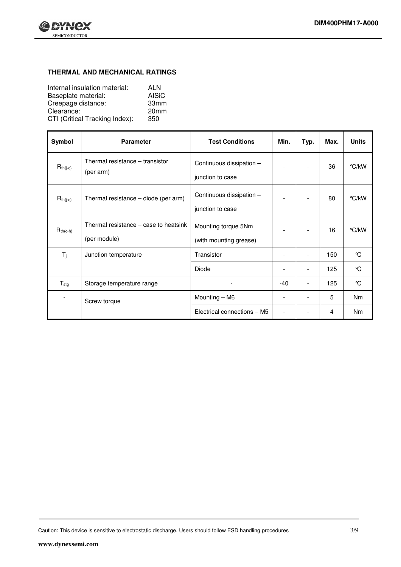

#### **THERMAL AND MECHANICAL RATINGS**

| Internal insulation material:  | ALN              |
|--------------------------------|------------------|
| Baseplate material:            | AISiC            |
| Creepage distance:             | 33mm             |
| Clearance:                     | 20 <sub>mm</sub> |
| CTI (Critical Tracking Index): | 350              |

| Symbol           | <b>Parameter</b>                                      | <b>Test Conditions</b>                        | Min.                     | Typ. | Max. | <b>Units</b> |
|------------------|-------------------------------------------------------|-----------------------------------------------|--------------------------|------|------|--------------|
| $R_{th(j-c)}$    | Thermal resistance - transistor<br>(per arm)          | Continuous dissipation -<br>junction to case  |                          |      | 36   | °C/kW        |
| $R_{th(j-c)}$    | Thermal resistance - diode (per arm)                  | Continuous dissipation -<br>junction to case  |                          |      | 80   | °C/kW        |
| $R_{th(c-h)}$    | Thermal resistance – case to heatsink<br>(per module) | Mounting torque 5Nm<br>(with mounting grease) |                          |      | 16   | °C/kW        |
| $T_j$            | Junction temperature                                  | Transistor                                    |                          |      | 150  | $\mathrm{C}$ |
|                  |                                                       | Diode                                         | $\overline{\phantom{0}}$ |      | 125  | °C           |
| $T_{\text{stg}}$ | Storage temperature range                             |                                               | $-40$                    |      | 125  | °C           |
|                  | Screw torque                                          | Mounting - M6                                 |                          |      | 5    | <b>Nm</b>    |
|                  |                                                       | Electrical connections - M5                   |                          |      | 4    | <b>Nm</b>    |

Caution: This device is sensitive to electrostatic discharge. Users should follow ESD handling procedures 3/9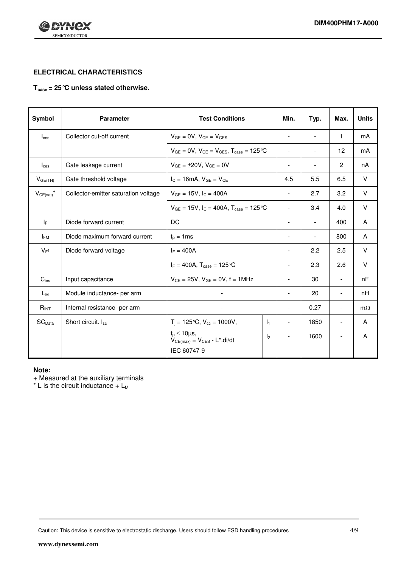



#### **ELECTRICAL CHARACTERISTICS**

#### **Tcase = 25°C unless stated otherwise.**

| Symbol                     | <b>Parameter</b>                     | <b>Test Conditions</b>                                                        |                | Min.                     | Typ.                     | Max.                     | <b>Units</b> |
|----------------------------|--------------------------------------|-------------------------------------------------------------------------------|----------------|--------------------------|--------------------------|--------------------------|--------------|
| $I_{\text{ces}}$           | Collector cut-off current            | $V_{GE} = 0V$ , $V_{CE} = V_{CES}$                                            |                | $\overline{\phantom{a}}$ | $\blacksquare$           | $\mathbf{1}$             | mA           |
|                            |                                      | $V_{GE}$ = 0V, $V_{CE}$ = $V_{CES}$ , $T_{case}$ = 125 °C                     |                |                          | $\overline{a}$           | $12 \overline{ }$        | mA           |
| $I_{\text{ces}}$           | Gate leakage current                 | $V_{GE} = \pm 20V$ , $V_{CE} = 0V$                                            |                | $\overline{\phantom{a}}$ | $\overline{\phantom{a}}$ | $\overline{2}$           | nA           |
| V <sub>GE(TH)</sub>        | Gate threshold voltage               | $I_C = 16mA$ , $V_{GE} = V_{CE}$                                              |                | 4.5                      | 5.5                      | 6.5                      | V            |
| $V_{CE(sat)}$ <sup>+</sup> | Collector-emitter saturation voltage | $V_{GE} = 15V$ , $I_C = 400A$                                                 |                | $\overline{\phantom{a}}$ | 2.7                      | 3.2                      | V            |
|                            |                                      | $V_{GE}$ = 15V, $I_C$ = 400A, $T_{case}$ = 125 °C                             |                | $\blacksquare$           | 3.4                      | 4.0                      | V            |
| IF.                        | Diode forward current                | DC                                                                            |                |                          | $\overline{\phantom{a}}$ | 400                      | A            |
| $I_{FM}$                   | Diode maximum forward current        | $t_p = 1ms$                                                                   |                | $\overline{\phantom{a}}$ | $\overline{\phantom{a}}$ | 800                      | A            |
| $V_{F^{\dagger}}$          | Diode forward voltage                | $I_F = 400A$                                                                  |                | $\overline{\phantom{a}}$ | 2.2                      | 2.5                      | $\vee$       |
|                            |                                      | $I_F = 400A$ , $T_{case} = 125^{\circ}C$                                      |                |                          | 2.3                      | 2.6                      | $\vee$       |
| $C_{\text{ies}}$           | Input capacitance                    | $V_{CE} = 25V$ , $V_{GE} = 0V$ , $f = 1MHz$                                   |                |                          | 30                       | $\overline{\phantom{a}}$ | nF           |
| Lм                         | Module inductance- per arm           |                                                                               |                | $\overline{\phantom{a}}$ | 20                       | $\blacksquare$           | nH           |
| R <sub>INT</sub>           | Internal resistance- per arm         |                                                                               |                | $\overline{\phantom{a}}$ | 0.27                     | $\blacksquare$           | $m\Omega$    |
| SC <sub>Data</sub>         | Short circuit. Isc                   | $T_i = 125 \text{ °C}, V_{cc} = 1000V,$                                       | $\mathsf{I}_1$ | $\overline{\phantom{a}}$ | 1850                     | $\overline{\phantom{a}}$ | A            |
|                            |                                      | $t_p \leq 10 \mu s$ ,<br>$V_{CE(max)} = V_{CES} - L^{*}.di/dt$<br>IEC 60747-9 | l <sub>2</sub> |                          | 1600                     |                          | A            |

#### **Note:**

+ Measured at the auxiliary terminals

 $*$  L is the circuit inductance +  $L_M$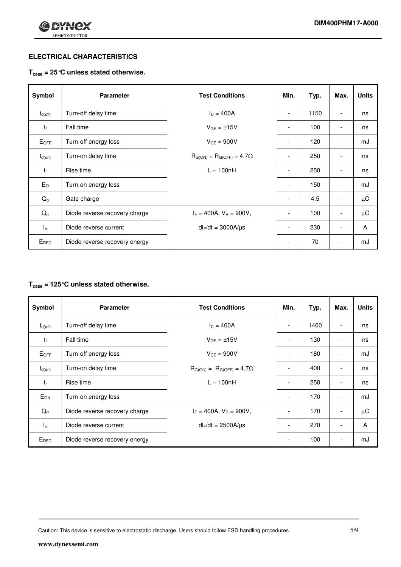

#### **ELECTRICAL CHARACTERISTICS**

#### **Tcase = 25°C unless stated otherwise.**

| Symbol                | <b>Parameter</b>              | <b>Test Conditions</b>               | Min.                     | Typ. | Max.                     | <b>Units</b> |
|-----------------------|-------------------------------|--------------------------------------|--------------------------|------|--------------------------|--------------|
| $t_{d(\mathrm{off})}$ | Turn-off delay time           | $I_{C} = 400A$                       | $\overline{\phantom{0}}$ | 1150 | $\overline{\phantom{0}}$ | ns           |
| $t_{\rm f}$           | Fall time                     | $V_{GE} = \pm 15V$                   | $\overline{\phantom{0}}$ | 100  |                          | ns           |
| $E_{OFF}$             | Turn-off energy loss          | $V_{CE} = 900V$                      | $\overline{\phantom{a}}$ | 120  | $\overline{\phantom{a}}$ | mJ           |
| $t_{d(on)}$           | Turn-on delay time            | $R_{G(ON)} = R_{G(OFF)} = 4.7\Omega$ |                          | 250  |                          | ns           |
| $t_{r}$               | Rise time                     | $L \sim 100nH$                       | $\overline{\phantom{0}}$ | 250  |                          | ns           |
| $E_{O}$               | Turn-on energy loss           |                                      | $\overline{\phantom{a}}$ | 150  | $\overline{\phantom{a}}$ | mJ           |
| $Q_g$                 | Gate charge                   |                                      | $\overline{\phantom{a}}$ | 4.5  |                          | μC           |
| $Q_{rr}$              | Diode reverse recovery charge | $I_F = 400A$ , $V_R = 900V$ ,        | $\overline{\phantom{a}}$ | 100  | $\overline{\phantom{a}}$ | μC           |
| $I_{rr}$              | Diode reverse current         | $dl_F/dt = 3000A/\mu s$              | $\overline{\phantom{0}}$ | 230  | $\overline{\phantom{0}}$ | A            |
| $E_{REC}$             | Diode reverse recovery energy |                                      | $\overline{\phantom{a}}$ | 70   | -                        | mJ           |

#### **Tcase = 125°C unless stated otherwise.**

| Symbol          | <b>Parameter</b>              | <b>Test Conditions</b>               | Min.                     | Typ. | Max.                     | <b>Units</b> |
|-----------------|-------------------------------|--------------------------------------|--------------------------|------|--------------------------|--------------|
| $t_{d(off)}$    | Turn-off delay time           | $I_C = 400A$                         |                          | 1400 | -                        | ns           |
| $t_{\rm f}$     | Fall time                     | $V_{GF} = \pm 15V$                   | $\overline{\phantom{a}}$ | 130  |                          | ns           |
| $E_{OFF}$       | Turn-off energy loss          | $V_{CE} = 900V$                      | $\overline{\phantom{a}}$ | 180  | $\overline{\phantom{0}}$ | mJ           |
| $t_{d(on)}$     | Turn-on delay time            | $R_{G(ON)} = R_{G(OFF)} = 4.7\Omega$ | $\overline{\phantom{a}}$ | 400  | $\overline{\phantom{0}}$ | ns           |
| tr              | Rise time                     | $L \sim 100nH$                       |                          | 250  |                          | ns           |
| E <sub>ON</sub> | Turn-on energy loss           |                                      | $\overline{\phantom{a}}$ | 170  | $\overline{\phantom{0}}$ | mJ           |
| $Q_{rr}$        | Diode reverse recovery charge | $I_F = 400A$ , $V_R = 900V$ ,        |                          | 170  | $\overline{\phantom{0}}$ | μC           |
| $I_{rr}$        | Diode reverse current         | $dl_F/dt = 2500 A/\mu s$             | $\overline{\phantom{a}}$ | 270  | $\overline{\phantom{0}}$ | A            |
| EREC            | Diode reverse recovery energy |                                      | -                        | 100  |                          | mJ           |

Caution: This device is sensitive to electrostatic discharge. Users should follow ESD handling procedures 5/9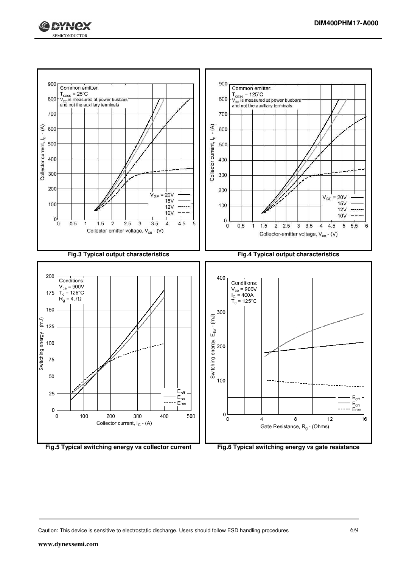



**Fig.5 Typical switching energy vs collector current Fig.6 Typical switching energy vs gate resistance**

Caution: This device is sensitive to electrostatic discharge. Users should follow ESD handling procedures 6/9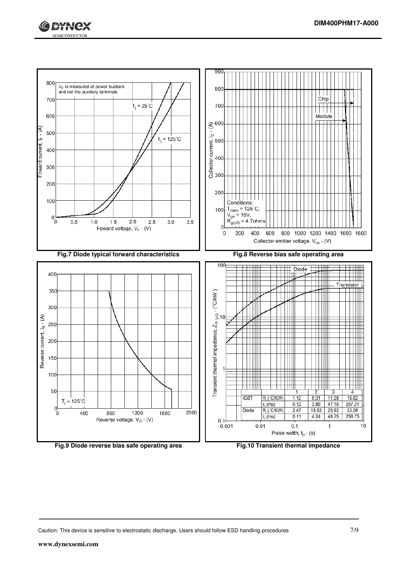



![](_page_6_Figure_4.jpeg)

Caution: This device is sensitive to electrostatic discharge. Users should follow ESD handling procedures 7/9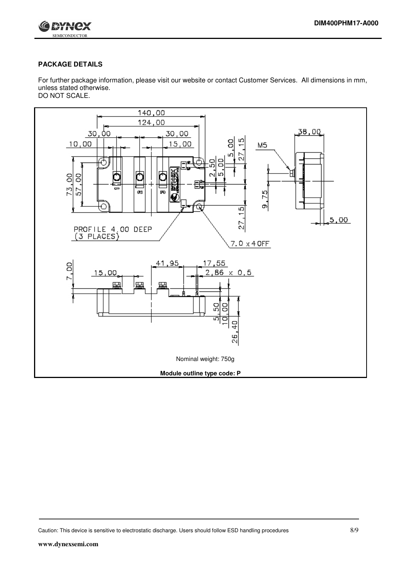![](_page_7_Picture_1.jpeg)

#### **PACKAGE DETAILS**

For further package information, please visit our website or contact Customer Services. All dimensions in mm, unless stated otherwise. DO NOT SCALE.

![](_page_7_Figure_4.jpeg)